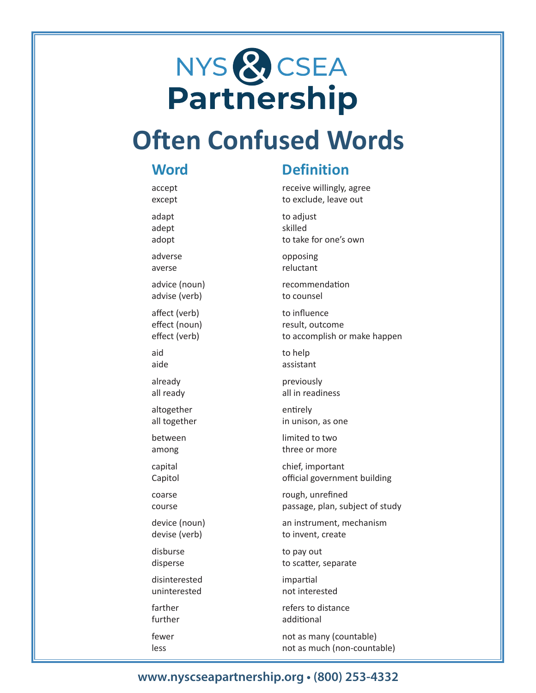# NYS & CSEA<br>Partnership

# **Often Confused Words**

#### **Word**

accept except

adapt adept adopt

adverse averse

advice (noun) advise (verb)

affect (verb) effect (noun) effect (verb)

aid aide

already all ready

altogether all together

between among

capital Capitol

coarse course

device (noun) devise (verb)

disburse disperse

disinterested uninterested

farther further

fewer less

## **Definition**

receive willingly, agree to exclude, leave out

to adjust skilled to take for one's own

opposing reluctant

recommendation to counsel

to influence result, outcome to accomplish or make happen

to help assistant

previously all in readiness

entirely in unison, as one

limited to two three or more

chief, important official government building

rough, unrefined passage, plan, subject of study

an instrument, mechanism to invent, create

to pay out to scatter, separate

impartial not interested

refers to distance additional

not as many (countable) not as much (non-countable)

#### **www.nyscseapartnership.org • (800) 253-4332**